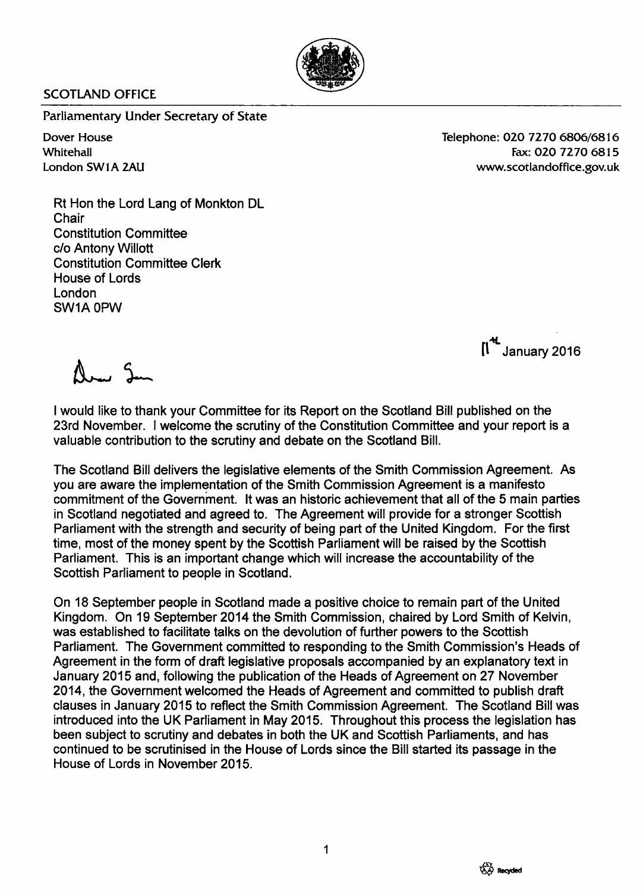

## SCOTLAND OFFICE

Parliamentary Under Secretary of State

Dover House **Whitehall** London SW1A 2AU Telephone: 020 7270 6806/6816 Fax:020 7270 6815 [www.scotlandoffice.gov.uk](http://www.scotlandoffice.gov.uk)

Rt Hon the Lord Lang of Monkton DL **Chair** Constitution Committee c/o Antony Willott Constitution Committee Clerk House of Lords London SW1A 0PW

~ [\ January 2016

Any Su

I would like to thank your Committee for its Report on the Scotland Bill published on the 23rd November. I welcome the scrutiny of the Constitution Committee and your report is a valuable contribution to the scrutiny and debate on the Scotland Bill.

The Scotland Bill delivers the legislative elements of the Smith Commission Agreement. As you are aware the implementation of the Smith Commission Agreement is a manifesto commitment of the Government. It was an historic achievement that all of the 5 main parties in Scotland negotiated and agreed to. The Agreement will provide for a stronger Scottish Parliament with the strength and security of being part of the United Kingdom. For the first time, most of the money spent by the Scottish Parliament will be raised by the Scottish Parliament. This is an important change which will increase the accountability of the Scottish Parliament to people in Scotland.

On 18 September people in Scotland made a positive choice to remain part of the United Kingdom. On 19 September 2014 the Smith Commission, chaired by Lord Smith of Kelvin, was established to facilitate talks on the devolution of further powers to the Scottish Parliament. The Government committed to responding to the Smith Commission's Heads of Agreement in the form of draft legislative proposals accompanied by an explanatory text in January 2015 and, following the publication of the Heads of Agreement on 27 November 2014, the Government welcomed the Heads of Agreement and committed to publish draft clauses in January 2015 to reflect the Smith Commission Agreement. The Scotland Bill was introduced into the UK Parliament in May 2015. Throughout this process the legislation has been subject to scrutiny and debates in both the UK and Scottish Parliaments, and has continued to be scrutinised in the House of Lords since the Bill started its passage in the House of Lords in November 2015.

1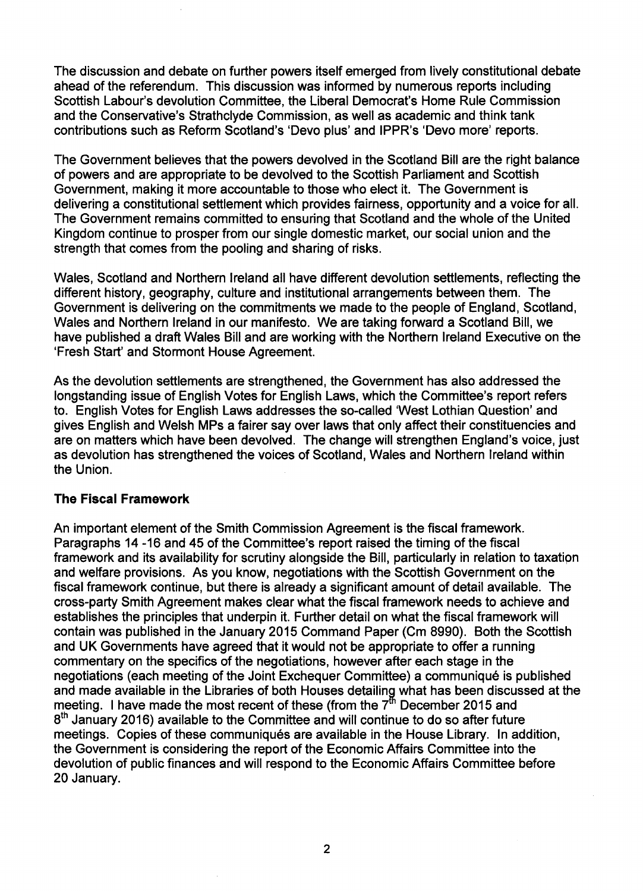The discussion and debate on further powers itself emerged from lively constitutional debate ahead of the referendum. This discussion was informed by numerous reports including Scottish Labour's devolution Committee, the Liberal Democrat's Home Rule Commission and the Conservative's Strathclyde Commission, as well as academic and think tank contributions such as Reform Scotland's 'Devo plus' and IPPR's 'Devo more' reports.

The Government believes that the powers devolved in the Scotland Bill are the right balance of powers and are appropriate to be devolved to the Scottish Parliament and Scottish Government, making it more accountable to those who elect it. The Government is delivering a constitutional settlement which provides fairness, opportunity and a voice for all. The Government remains committed to ensuring that Scotland and the whole of the United Kingdom continue to prosper from our single domestic market, our social union and the strength that comes from the pooling and sharing of risks.

Wales, Scotland and Northern Ireland all have different devolution settlements, reflecting the different history, geography, culture and institutional arrangements between them. The Government is delivering on the commitments we made to the people of England, Scotland, Wales and Northern Ireland in our manifesto. We are taking forward a Scotland Bill, we have published a draft Wales Bill and are working with the Northern Ireland Executive on the 'Fresh Start' and Stormont House Agreement.

As the devolution settlements are strengthened, the Government has also addressed the longstanding issue of English Votes for English Laws, which the Committee's report refers to. English Votes for English Laws addresses the so-called 'West Lothian Question' and gives English and Welsh MPs a fairer say over laws that only affect their constituencies and are on matters which have been devolved. The change will strengthen England's voice, just as devolution has strengthened the voices of Scotland, Wales and Northern Ireland within the Union.

#### **The Fiscal Framework**

An important element of the Smith Commission Agreement is the fiscal framework. Paragraphs 14 -16 and 45 of the Committee's report raised the timing of the fiscal framework and its availability for scrutiny alongside the Bill, particularly in relation to taxation and welfare provisions. As you know, negotiations with the Scottish Government on the fiscal framework continue, but there is already a significant amount of detail available. The cross-party Smith Agreement makes clear what the fiscal framework needs to achieve and establishes the principles that underpin it. Further detail on what the fiscal framework will contain was published in the January 2015 Command Paper (Cm 8990). Both the Scottish and UK Governments have agreed that it would not be appropriate to offer a running commentary on the specifics of the negotiations, however after each stage in the negotiations (each meeting of the Joint Exchequer Committee) a communique is published and made available in the Libraries of both Houses detailing what has been discussed at the meeting. I have made the most recent of these (from the  $7<sup>th</sup>$  December 2015 and  $8^{\rm th}$  January 2016) available to the Committee and will continue to do so after future meetings. Copies of these communiqués are available in the House Library. In addition, the Government is considering the report of the Economic Affairs Committee into the devolution of public finances and will respond to the Economic Affairs Committee before 20 January.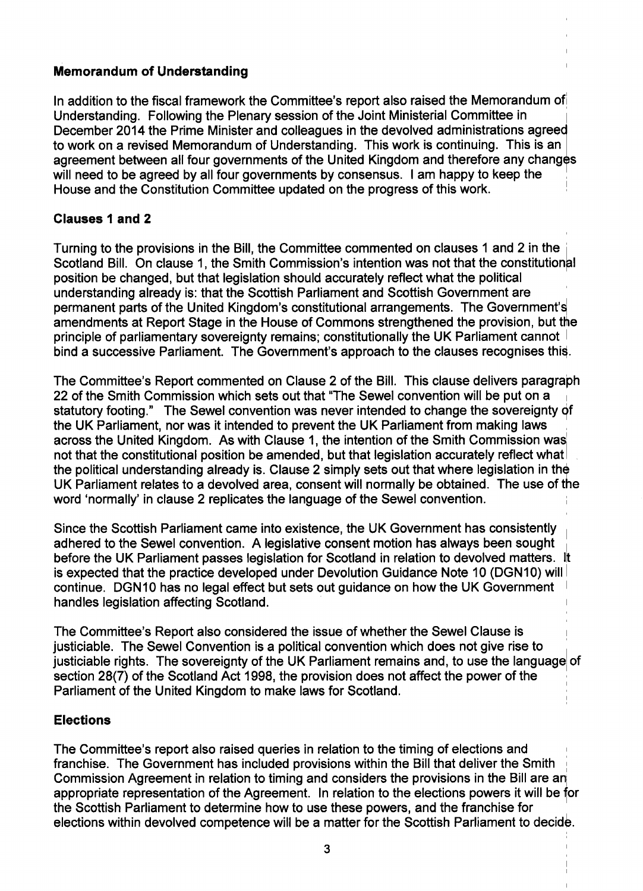## **Memorandum of Understanding**

In addition to the fiscal framework the Committee's report also raised the Memorandum ofl Understanding. Following the Plenary session of the Joint Ministerial Committee in <sup>I</sup> December 2014 the Prime Minister and colleagues in the devolved administrations agreed to work on a revised Memorandum of Understanding. This work is continuing. This is an agreement between all four governments of the United Kingdom and therefore any changes will need to be agreed by all four governments by consensus. I am happy to keep the House and the Constitution Committee updated on the progress of this work. !

## **Clauses 1 and 2**

Turning to the provisions in the Bill, the Committee commented on clauses 1 and 2 in the <sup>I</sup> Scotland Bill. On clause 1, the Smith Commission's intention was not that the constitutional position be changed, but that legislation should accurately reflect what the political understanding already is: that the Scottish Parliament and Scottish Government are ' permanent parts of the United Kingdom's constitutional arrangements. The Governrnent's amendments at Report Stage in the House of Commons strengthened the provision, but the principle of parliamentary sovereignty remains; constitutionally the UK Parliament cannot bind a successive Parliament. The Government's approach to the clauses recognises this.

The Committee's Report commented on Clause 2 of the Bill. This clause delivers paragraph 22 of the Smith Commission which sets out that "The Sewel convention will be put on a statutory footing." The Sewel convention was never intended to change the sovereignty *qf* the UK Parliament, nor was it intended to prevent the UK Parliament from making laws , across the United Kingdom. As with Clause 1, the intention of the Smith Commission was not that the constitutional position be amended, but that legislation accurately reflect what the political understanding already is. Clause 2 simply sets out that where legislation in the UK Parliament relates to a devolved area, consent will normally be obtained. The use of the word 'normally' in clause 2 replicates the language of the Sewel convention.

Since the Scottish Parliament came into existence, the UK Government has consistently <sup>I</sup> adhered to the Sewel convention. A legislative consent motion has always been sought before the UK Parliament passes legislation for Scotland in relation to devolved matters. It is expected that the practice developed under Devolution Guidance Note 10 (DGN10) will continue. DGN10 has no legal effect but sets out guidance on how the UK Government handles legislation affecting Scotland.

The Committee's Report also considered the issue of whether the Sewel Clause is <sup>I</sup> justiciable. The Sewel Convention is a political convention which does not give rise to justiciable rights. The sovereignty of the UK Parliament remains and, to use the language of section 28(7) of the Scotland Act 1998, the provision does not affect the power of the Parliament of the United Kingdom to make laws for Scotland.

## **Elections**

The Committee's report also raised queries in relation to the timing of elections and franchise. The Government has included provisions within the Bill that deliver the Smith : Commission Agreement in relation to timing and considers the provisions in the Bill are an appropriate representation of the Agreement. In relation to the elections powers it will be for the Scottish Parliament to determine how to use these powers, and the franchise for elections within devolved competence will be a matter for the Scottish Parliament to decide.